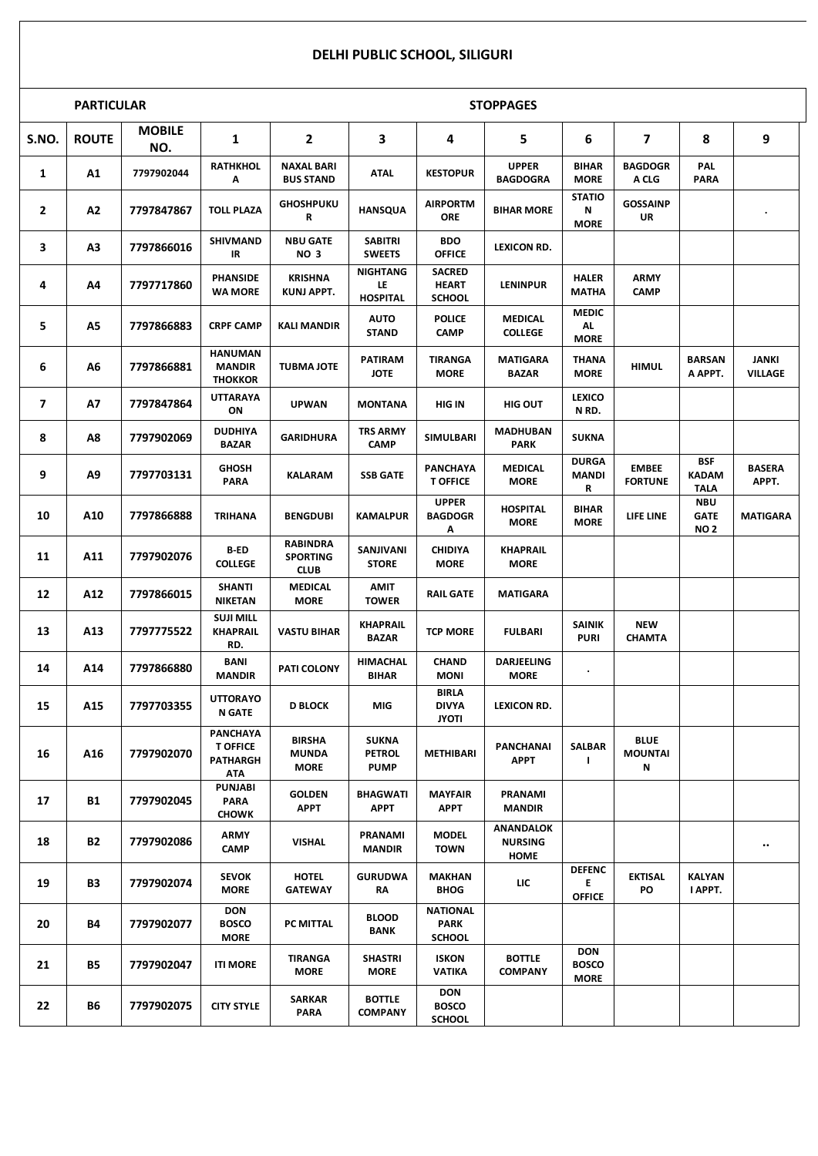## **DELHI PUBLIC SCHOOL, SILIGURI**

|                         | <b>PARTICULAR</b> |                      |                                                              |                                                   |                                              |                                                | <b>STOPPAGES</b>                           |                                           |                                    |                                           |                         |
|-------------------------|-------------------|----------------------|--------------------------------------------------------------|---------------------------------------------------|----------------------------------------------|------------------------------------------------|--------------------------------------------|-------------------------------------------|------------------------------------|-------------------------------------------|-------------------------|
| S.NO.                   | <b>ROUTE</b>      | <b>MOBILE</b><br>NO. | 1                                                            | $\mathbf{2}$                                      | 3                                            | 4                                              | 5                                          | 6                                         | $\overline{\mathbf{z}}$            | 8                                         | 9                       |
| $\mathbf{1}$            | A1                | 7797902044           | <b>RATHKHOL</b><br>Α                                         | <b>NAXAL BARI</b><br><b>BUS STAND</b>             | <b>ATAL</b>                                  | <b>KESTOPUR</b>                                | <b>UPPER</b><br><b>BAGDOGRA</b>            | <b>BIHAR</b><br><b>MORE</b>               | <b>BAGDOGR</b><br>A CLG            | <b>PAL</b><br><b>PARA</b>                 |                         |
| $\mathbf{2}$            | A2                | 7797847867           | <b>TOLL PLAZA</b>                                            | <b>GHOSHPUKU</b><br>R                             | <b>HANSQUA</b>                               | <b>AIRPORTM</b><br><b>ORE</b>                  | <b>BIHAR MORE</b>                          | <b>STATIO</b><br>Ν<br><b>MORE</b>         | <b>GOSSAINP</b><br>UR              |                                           |                         |
| 3                       | A3                | 7797866016           | <b>SHIVMAND</b><br>IR                                        | <b>NBU GATE</b><br><b>NO 3</b>                    | <b>SABITRI</b><br><b>SWEETS</b>              | <b>BDO</b><br><b>OFFICE</b>                    | <b>LEXICON RD.</b>                         |                                           |                                    |                                           |                         |
| 4                       | Α4                | 7797717860           | <b>PHANSIDE</b><br><b>WA MORE</b>                            | <b>KRISHNA</b><br><b>KUNJ APPT.</b>               | <b>NIGHTANG</b><br>LE<br><b>HOSPITAL</b>     | <b>SACRED</b><br><b>HEART</b><br><b>SCHOOL</b> | <b>LENINPUR</b>                            | <b>HALER</b><br><b>MATHA</b>              | <b>ARMY</b><br><b>CAMP</b>         |                                           |                         |
| 5                       | <b>A5</b>         | 7797866883           | <b>CRPF CAMP</b>                                             | <b>KALI MANDIR</b>                                | <b>AUTO</b><br><b>STAND</b>                  | <b>POLICE</b><br><b>CAMP</b>                   | <b>MEDICAL</b><br><b>COLLEGE</b>           | <b>MEDIC</b><br><b>AL</b><br><b>MORE</b>  |                                    |                                           |                         |
| 6                       | А6                | 7797866881           | <b>HANUMAN</b><br><b>MANDIR</b><br><b>THOKKOR</b>            | <b>TUBMA JOTE</b>                                 | <b>PATIRAM</b><br><b>JOTE</b>                | <b>TIRANGA</b><br><b>MORE</b>                  | <b>MATIGARA</b><br><b>BAZAR</b>            | <b>THANA</b><br><b>MORE</b>               | <b>HIMUL</b>                       | <b>BARSAN</b><br>A APPT.                  | JANKI<br><b>VILLAGE</b> |
| $\overline{\mathbf{z}}$ | Α7                | 7797847864           | <b>UTTARAYA</b><br>ON                                        | <b>UPWAN</b>                                      | <b>MONTANA</b>                               | HIG IN                                         | <b>HIG OUT</b>                             | LEXICO<br>N RD.                           |                                    |                                           |                         |
| 8                       | Α8                | 7797902069           | <b>DUDHIYA</b><br><b>BAZAR</b>                               | <b>GARIDHURA</b>                                  | <b>TRS ARMY</b><br><b>CAMP</b>               | SIMULBARI                                      | <b>MADHUBAN</b><br><b>PARK</b>             | <b>SUKNA</b>                              |                                    |                                           |                         |
| 9                       | A9                | 7797703131           | <b>GHOSH</b><br><b>PARA</b>                                  | <b>KALARAM</b>                                    | <b>SSB GATE</b>                              | <b>PANCHAYA</b><br><b>T OFFICE</b>             | <b>MEDICAL</b><br><b>MORE</b>              | <b>DURGA</b><br><b>MANDI</b><br>R         | <b>EMBEE</b><br><b>FORTUNE</b>     | <b>BSF</b><br><b>KADAM</b><br><b>TALA</b> | <b>BASERA</b><br>APPT.  |
| 10                      | A10               | 7797866888           | <b>TRIHANA</b>                                               | <b>BENGDUBI</b>                                   | <b>KAMALPUR</b>                              | <b>UPPER</b><br><b>BAGDOGR</b><br>Α            | <b>HOSPITAL</b><br><b>MORE</b>             | <b>BIHAR</b><br><b>MORE</b>               | LIFE LINE                          | <b>NBU</b><br><b>GATE</b><br><b>NO2</b>   | <b>MATIGARA</b>         |
| 11                      | A11               | 7797902076           | <b>B-ED</b><br><b>COLLEGE</b>                                | <b>RABINDRA</b><br><b>SPORTING</b><br><b>CLUB</b> | SANJIVANI<br><b>STORE</b>                    | <b>CHIDIYA</b><br><b>MORE</b>                  | <b>KHAPRAIL</b><br><b>MORE</b>             |                                           |                                    |                                           |                         |
| 12                      | A12               | 7797866015           | <b>SHANTI</b><br><b>NIKETAN</b>                              | <b>MEDICAL</b><br><b>MORE</b>                     | <b>AMIT</b><br><b>TOWER</b>                  | <b>RAIL GATE</b>                               | <b>MATIGARA</b>                            |                                           |                                    |                                           |                         |
| 13                      | A13               | 7797775522           | <b>SUJI MILL</b><br><b>KHAPRAIL</b><br>RD.                   | <b>VASTU BIHAR</b>                                | <b>KHAPRAIL</b><br><b>BAZAR</b>              | <b>TCP MORE</b>                                | <b>FULBARI</b>                             | <b>SAINIK</b><br><b>PURI</b>              | <b>NEW</b><br><b>CHAMTA</b>        |                                           |                         |
| 14                      | A14               | 7797866880           | <b>BANI</b><br><b>MANDIR</b>                                 | PATI COLONY                                       | <b>HIMACHAL</b><br><b>BIHAR</b>              | <b>CHAND</b><br><b>MONI</b>                    | <b>DARJEELING</b><br><b>MORE</b>           | $\bullet$                                 |                                    |                                           |                         |
| 15                      | A15               | 7797703355           | <b>UTTORAYO</b><br><b>N GATE</b>                             | <b>D BLOCK</b>                                    | MIG                                          | <b>BIRLA</b><br><b>DIVYA</b><br><b>JYOTI</b>   | LEXICON RD.                                |                                           |                                    |                                           |                         |
| 16                      | A16               | 7797902070           | <b>PANCHAYA</b><br><b>T OFFICE</b><br><b>PATHARGH</b><br>ΑΤΑ | <b>BIRSHA</b><br><b>MUNDA</b><br><b>MORE</b>      | <b>SUKNA</b><br><b>PETROL</b><br><b>PUMP</b> | <b>METHIBARI</b>                               | PANCHANAI<br><b>APPT</b>                   | <b>SALBAR</b><br>$\mathbf{I}$             | <b>BLUE</b><br><b>MOUNTAI</b><br>Ν |                                           |                         |
| 17                      | <b>B1</b>         | 7797902045           | <b>PUNJABI</b><br><b>PARA</b><br><b>CHOWK</b>                | <b>GOLDEN</b><br><b>APPT</b>                      | <b>BHAGWATI</b><br><b>APPT</b>               | <b>MAYFAIR</b><br><b>APPT</b>                  | <b>PRANAMI</b><br><b>MANDIR</b>            |                                           |                                    |                                           |                         |
| 18                      | <b>B2</b>         | 7797902086           | <b>ARMY</b><br><b>CAMP</b>                                   | <b>VISHAL</b>                                     | <b>PRANAMI</b><br><b>MANDIR</b>              | <b>MODEL</b><br><b>TOWN</b>                    | <b>ANANDALOK</b><br><b>NURSING</b><br>HOME |                                           |                                    |                                           | $\bullet\bullet$        |
| 19                      | B3                | 7797902074           | <b>SEVOK</b><br><b>MORE</b>                                  | <b>HOTEL</b><br><b>GATEWAY</b>                    | <b>GURUDWA</b><br>RΛ                         | <b>MAKHAN</b><br><b>BHOG</b>                   | LIC                                        | <b>DEFENC</b><br>E<br><b>OFFICE</b>       | <b>EKTISAL</b><br>PO               | <b>KALYAN</b><br>I APPT.                  |                         |
| 20                      | <b>B4</b>         | 7797902077           | <b>DON</b><br><b>BOSCO</b><br><b>MORE</b>                    | PC MITTAL                                         | <b>BLOOD</b><br>BANK                         | <b>NATIONAL</b><br>PARK<br><b>SCHOOL</b>       |                                            |                                           |                                    |                                           |                         |
| 21                      | <b>B5</b>         | 7797902047           | <b>ITI MORE</b>                                              | <b>TIRANGA</b><br><b>MORE</b>                     | <b>SHASTRI</b><br><b>MORE</b>                | <b>ISKON</b><br><b>VATIKA</b>                  | <b>BOTTLE</b><br><b>COMPANY</b>            | <b>DON</b><br><b>BOSCO</b><br><b>MORE</b> |                                    |                                           |                         |
| 22                      | <b>B6</b>         | 7797902075           | <b>CITY STYLE</b>                                            | <b>SARKAR</b><br><b>PARA</b>                      | <b>BOTTLE</b><br><b>COMPANY</b>              | <b>DON</b><br><b>BOSCO</b><br><b>SCHOOL</b>    |                                            |                                           |                                    |                                           |                         |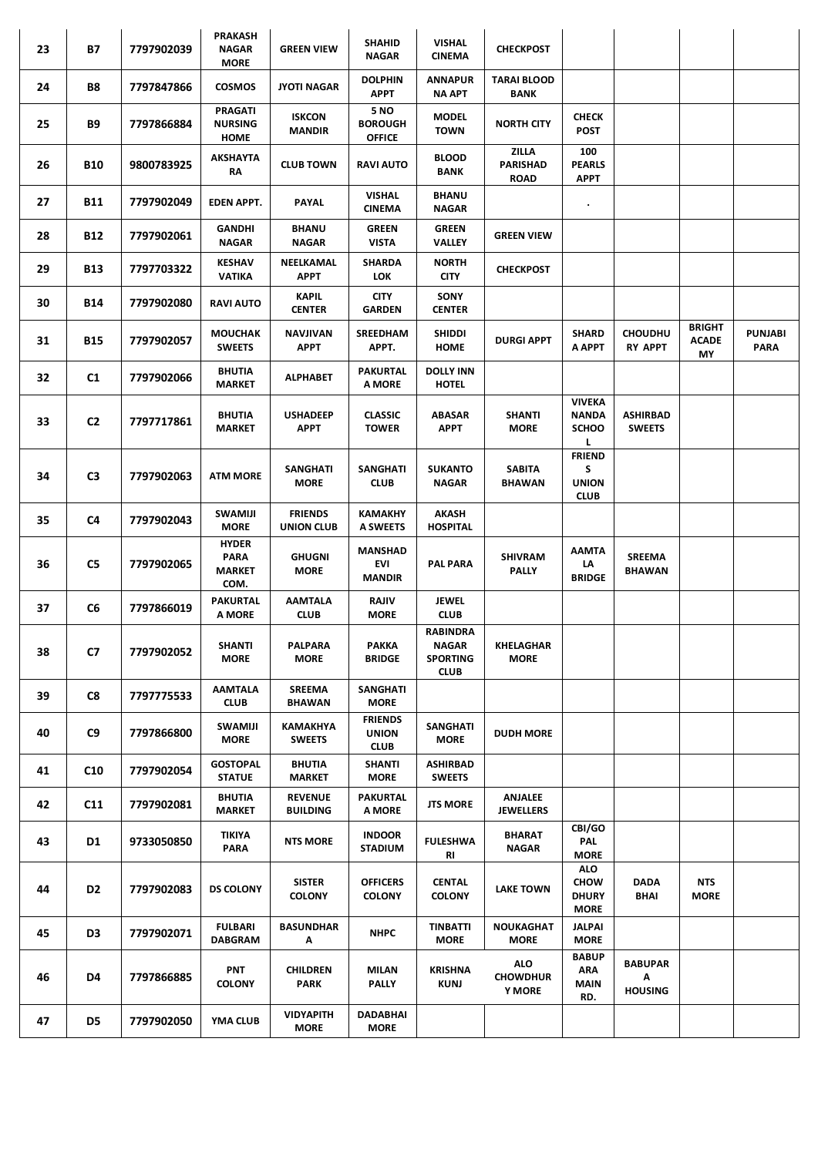| 23 | <b>B7</b>       | 7797902039 | <b>PRAKASH</b><br><b>NAGAR</b><br><b>MORE</b>        | <b>GREEN VIEW</b>                 | <b>SHAHID</b><br><b>NAGAR</b>                 | <b>VISHAL</b><br><b>CINEMA</b>                                    | <b>CHECKPOST</b>                               |                                                          |                                       |                                     |                               |
|----|-----------------|------------|------------------------------------------------------|-----------------------------------|-----------------------------------------------|-------------------------------------------------------------------|------------------------------------------------|----------------------------------------------------------|---------------------------------------|-------------------------------------|-------------------------------|
| 24 | <b>B8</b>       | 7797847866 | <b>COSMOS</b>                                        | <b>JYOTI NAGAR</b>                | <b>DOLPHIN</b><br><b>APPT</b>                 | <b>ANNAPUR</b><br><b>NA APT</b>                                   | <b>TARAI BLOOD</b><br><b>BANK</b>              |                                                          |                                       |                                     |                               |
| 25 | <b>B9</b>       | 7797866884 | <b>PRAGATI</b><br><b>NURSING</b><br><b>HOME</b>      | <b>ISKCON</b><br><b>MANDIR</b>    | 5 NO<br><b>BOROUGH</b><br><b>OFFICE</b>       | <b>MODEL</b><br><b>TOWN</b>                                       | <b>NORTH CITY</b>                              | <b>CHECK</b><br><b>POST</b>                              |                                       |                                     |                               |
| 26 | <b>B10</b>      | 9800783925 | AKSHAYTA<br>RA                                       | <b>CLUB TOWN</b>                  | <b>RAVI AUTO</b>                              | <b>BLOOD</b><br>BANK                                              | <b>ZILLA</b><br><b>PARISHAD</b><br><b>ROAD</b> | 100<br><b>PEARLS</b><br><b>APPT</b>                      |                                       |                                     |                               |
| 27 | B11             | 7797902049 | EDEN APPT.                                           | PAYAL                             | <b>VISHAL</b><br><b>CINEMA</b>                | <b>BHANU</b><br><b>NAGAR</b>                                      |                                                | $\bullet$                                                |                                       |                                     |                               |
| 28 | <b>B12</b>      | 7797902061 | <b>GANDHI</b><br><b>NAGAR</b>                        | <b>BHANU</b><br><b>NAGAR</b>      | <b>GREEN</b><br><b>VISTA</b>                  | <b>GREEN</b><br><b>VALLEY</b>                                     | <b>GREEN VIEW</b>                              |                                                          |                                       |                                     |                               |
| 29 | <b>B13</b>      | 7797703322 | <b>KESHAV</b><br><b>VATIKA</b>                       | NEELKAMAL<br><b>APPT</b>          | SHARDA<br><b>LOK</b>                          | <b>NORTH</b><br><b>CITY</b>                                       | <b>CHECKPOST</b>                               |                                                          |                                       |                                     |                               |
| 30 | <b>B14</b>      | 7797902080 | <b>RAVI AUTO</b>                                     | <b>KAPIL</b><br><b>CENTER</b>     | <b>CITY</b><br><b>GARDEN</b>                  | SONY<br><b>CENTER</b>                                             |                                                |                                                          |                                       |                                     |                               |
| 31 | <b>B15</b>      | 7797902057 | <b>MOUCHAK</b><br><b>SWEETS</b>                      | <b>NAVJIVAN</b><br><b>APPT</b>    | SREEDHAM<br>APPT.                             | <b>SHIDDI</b><br><b>HOME</b>                                      | <b>DURGI APPT</b>                              | <b>SHARD</b><br>A APPT                                   | <b>CHOUDHU</b><br><b>RY APPT</b>      | <b>BRIGHT</b><br><b>ACADE</b><br>MY | <b>PUNJABI</b><br><b>PARA</b> |
| 32 | C1              | 7797902066 | <b>BHUTIA</b><br><b>MARKET</b>                       | <b>ALPHABET</b>                   | <b>PAKURTAL</b><br>A MORE                     | <b>DOLLY INN</b><br><b>HOTEL</b>                                  |                                                |                                                          |                                       |                                     |                               |
| 33 | C <sub>2</sub>  | 7797717861 | <b>BHUTIA</b><br><b>MARKET</b>                       | <b>USHADEEP</b><br>APPT           | <b>CLASSIC</b><br><b>TOWER</b>                | <b>ABASAR</b><br><b>APPT</b>                                      | <b>SHANTI</b><br><b>MORE</b>                   | <b>VIVEKA</b><br><b>NANDA</b><br><b>SCHOO</b><br>г       | <b>ASHIRBAD</b><br><b>SWEETS</b>      |                                     |                               |
| 34 | C <sub>3</sub>  | 7797902063 | <b>ATM MORE</b>                                      | <b>SANGHATI</b><br><b>MORE</b>    | <b>SANGHATI</b><br><b>CLUB</b>                | <b>SUKANTO</b><br><b>NAGAR</b>                                    | <b>SABITA</b><br><b>BHAWAN</b>                 | <b>FRIEND</b><br>S<br><b>UNION</b><br><b>CLUB</b>        |                                       |                                     |                               |
| 35 | C4              | 7797902043 | <b>SWAMIJI</b><br><b>MORE</b>                        | <b>FRIENDS</b><br>UNION CLUB      | <b>KAMAKHY</b><br>A SWEETS                    | AKASH<br><b>HOSPITAL</b>                                          |                                                |                                                          |                                       |                                     |                               |
| 36 | C5              | 7797902065 | <b>HYDER</b><br><b>PARA</b><br><b>MARKET</b><br>COM. | <b>GHUGNI</b><br><b>MORE</b>      | <b>MANSHAD</b><br>EVI<br><b>MANDIR</b>        | <b>PAL PARA</b>                                                   | <b>SHIVRAM</b><br><b>PALLY</b>                 | <b>AAMTA</b><br>LΑ<br><b>BRIDGE</b>                      | <b>SREEMA</b><br>BHAWAN               |                                     |                               |
| 37 | C6              | 7797866019 | <b>PAKURTAL</b><br>A MORE                            | <b>AAMTALA</b><br><b>CLUB</b>     | <b>RAJIV</b><br><b>MORE</b>                   | <b>JEWEL</b><br><b>CLUB</b>                                       |                                                |                                                          |                                       |                                     |                               |
| 38 | C7              | 7797902052 | <b>SHANTI</b><br><b>MORE</b>                         | <b>PALPARA</b><br><b>MORE</b>     | <b>РАККА</b><br><b>BRIDGE</b>                 | <b>RABINDRA</b><br><b>NAGAR</b><br><b>SPORTING</b><br><b>CLUB</b> | <b>KHELAGHAR</b><br><b>MORE</b>                |                                                          |                                       |                                     |                               |
| 39 | C8              | 7797775533 | <b>AAMTALA</b><br><b>CLUB</b>                        | SREEMA<br><b>BHAWAN</b>           | SANGHATI<br><b>MORE</b>                       |                                                                   |                                                |                                                          |                                       |                                     |                               |
| 40 | C9              | 7797866800 | SWAMIJI<br><b>MORE</b>                               | KAMAKHYA<br><b>SWEETS</b>         | <b>FRIENDS</b><br><b>UNION</b><br><b>CLUB</b> | SANGHATI<br><b>MORE</b>                                           | <b>DUDH MORE</b>                               |                                                          |                                       |                                     |                               |
| 41 | C <sub>10</sub> | 7797902054 | <b>GOSTOPAL</b><br><b>STATUE</b>                     | <b>BHUTIA</b><br><b>MARKET</b>    | <b>SHANTI</b><br><b>MORE</b>                  | <b>ASHIRBAD</b><br><b>SWEETS</b>                                  |                                                |                                                          |                                       |                                     |                               |
| 42 | C11             | 7797902081 | <b>BHUTIA</b><br><b>MARKET</b>                       | <b>REVENUE</b><br><b>BUILDING</b> | <b>PAKURTAL</b><br>A MORE                     | <b>JTS MORE</b>                                                   | <b>ANJALEE</b><br><b>JEWELLERS</b>             |                                                          |                                       |                                     |                               |
| 43 | D1              | 9733050850 | TIKIYA<br><b>PARA</b>                                | NTS MORE                          | <b>INDOOR</b><br><b>STADIUM</b>               | <b>FULESHWA</b><br>RI                                             | BHARAT<br><b>NAGAR</b>                         | CBI/GO<br>PAL<br><b>MORE</b>                             |                                       |                                     |                               |
| 44 | D <sub>2</sub>  | 7797902083 | <b>DS COLONY</b>                                     | <b>SISTER</b><br><b>COLONY</b>    | <b>OFFICERS</b><br><b>COLONY</b>              | <b>CENTAL</b><br><b>COLONY</b>                                    | <b>LAKE TOWN</b>                               | <b>ALO</b><br><b>CHOW</b><br><b>DHURY</b><br><b>MORE</b> | DADA<br><b>BHAI</b>                   | <b>NTS</b><br><b>MORE</b>           |                               |
| 45 | D <sub>3</sub>  | 7797902071 | <b>FULBARI</b><br><b>DABGRAM</b>                     | <b>BASUNDHAR</b><br>Α             | <b>NHPC</b>                                   | <b>TINBATTI</b><br><b>MORE</b>                                    | NOUKAGHAT<br><b>MORE</b>                       | <b>JALPAI</b><br><b>MORE</b>                             |                                       |                                     |                               |
| 46 | D4              | 7797866885 | <b>PNT</b><br><b>COLONY</b>                          | <b>CHILDREN</b><br><b>PARK</b>    | <b>MILAN</b><br><b>PALLY</b>                  | <b>KRISHNA</b><br><b>KUNJ</b>                                     | <b>ALO</b><br><b>CHOWDHUR</b><br><b>Y MORE</b> | <b>BABUP</b><br><b>ARA</b><br><b>MAIN</b><br>RD.         | <b>BABUPAR</b><br>Α<br><b>HOUSING</b> |                                     |                               |
| 47 | D5              | 7797902050 | YMA CLUB                                             | <b>VIDYAPITH</b><br><b>MORE</b>   | DADABHAI<br><b>MORE</b>                       |                                                                   |                                                |                                                          |                                       |                                     |                               |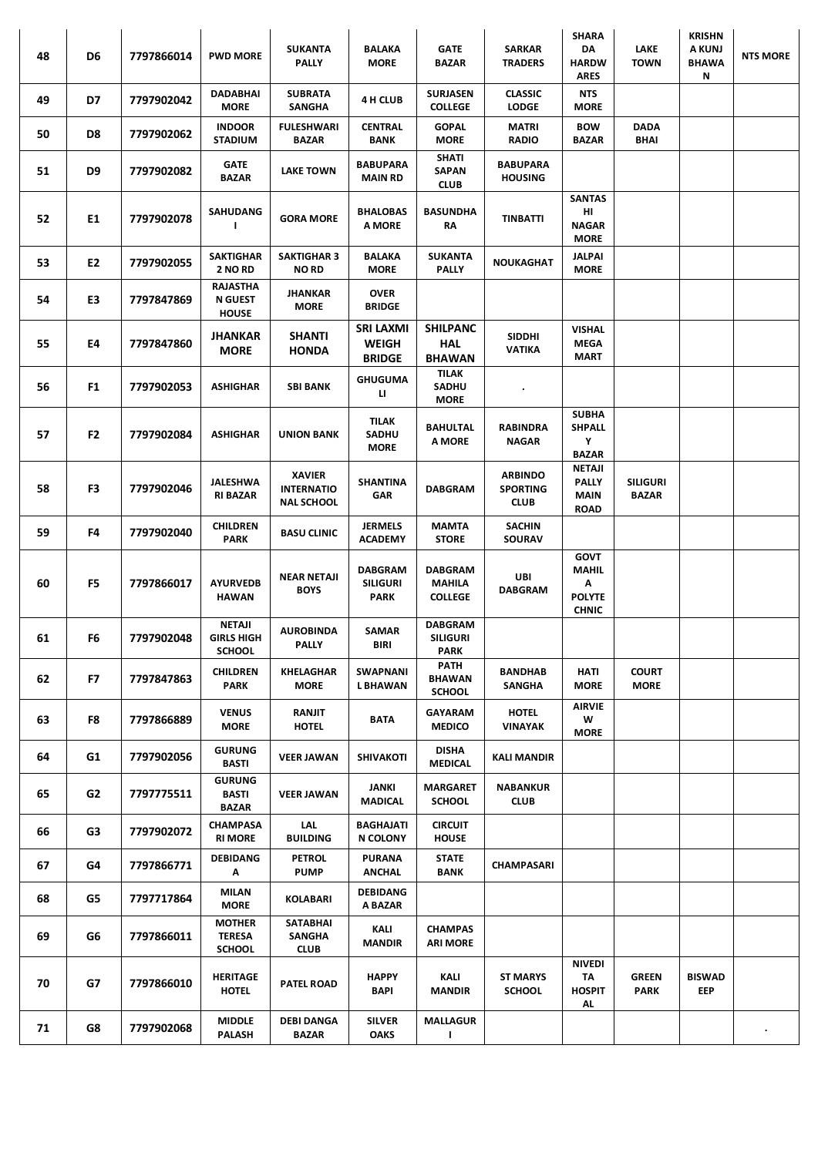| 48 | D <sub>6</sub> | 7797866014 | <b>PWD MORE</b>                                   | <b>SUKANTA</b><br><b>PALLY</b>                          | <b>BALAKA</b><br><b>MORE</b>                     | <b>GATE</b><br><b>BAZAR</b>                 | <b>SARKAR</b><br><b>TRADERS</b>                  | <b>SHARA</b><br>DA<br><b>HARDW</b><br>ARES                        | <b>LAKE</b><br><b>TOWN</b>  | <b>KRISHN</b><br><b>A KUNJ</b><br><b>BHAWA</b><br>Ν | <b>NTS MORE</b> |
|----|----------------|------------|---------------------------------------------------|---------------------------------------------------------|--------------------------------------------------|---------------------------------------------|--------------------------------------------------|-------------------------------------------------------------------|-----------------------------|-----------------------------------------------------|-----------------|
| 49 | D7             | 7797902042 | DADABHAI<br><b>MORE</b>                           | <b>SUBRATA</b><br>SANGHA                                | 4 H CLUB                                         | <b>SURJASEN</b><br><b>COLLEGE</b>           | <b>CLASSIC</b><br><b>LODGE</b>                   | <b>NTS</b><br><b>MORE</b>                                         |                             |                                                     |                 |
| 50 | D8             | 7797902062 | <b>INDOOR</b><br><b>STADIUM</b>                   | <b>FULESHWARI</b><br>BAZAR                              | <b>CENTRAL</b><br>BANK                           | <b>GOPAL</b><br><b>MORE</b>                 | <b>MATRI</b><br><b>RADIO</b>                     | <b>BOW</b><br><b>BAZAR</b>                                        | <b>DADA</b><br>BHAI         |                                                     |                 |
| 51 | D9             | 7797902082 | <b>GATE</b><br><b>BAZAR</b>                       | <b>LAKE TOWN</b>                                        | <b>BABUPARA</b><br><b>MAIN RD</b>                | <b>SHATI</b><br><b>SAPAN</b><br><b>CLUB</b> | <b>BABUPARA</b><br><b>HOUSING</b>                |                                                                   |                             |                                                     |                 |
| 52 | E1             | 7797902078 | <b>SAHUDANG</b><br>$\mathbf{I}$                   | <b>GORA MORE</b>                                        | <b>BHALOBAS</b><br>A MORE                        | <b>BASUNDHA</b><br>RΑ                       | <b>TINBATTI</b>                                  | <b>SANTAS</b><br>HI<br><b>NAGAR</b><br><b>MORE</b>                |                             |                                                     |                 |
| 53 | E2             | 7797902055 | <b>SAKTIGHAR</b><br>2 NO RD                       | <b>SAKTIGHAR 3</b><br><b>NORD</b>                       | <b>BALAKA</b><br><b>MORE</b>                     | <b>SUKANTA</b><br><b>PALLY</b>              | <b>NOUKAGHAT</b>                                 | <b>JALPAI</b><br><b>MORE</b>                                      |                             |                                                     |                 |
| 54 | E3             | 7797847869 | <b>RAJASTHA</b><br><b>N GUEST</b><br><b>HOUSE</b> | JHANKAR<br><b>MORE</b>                                  | <b>OVER</b><br><b>BRIDGE</b>                     |                                             |                                                  |                                                                   |                             |                                                     |                 |
| 55 | E4             | 7797847860 | JHANKAR<br><b>MORE</b>                            | <b>SHANTI</b><br><b>HONDA</b>                           | SRI LAXMI<br><b>WEIGH</b><br><b>BRIDGE</b>       | <b>SHILPANC</b><br>HAL<br><b>BHAWAN</b>     | <b>SIDDHI</b><br><b>VATIKA</b>                   | VISHAL<br><b>MEGA</b><br><b>MART</b>                              |                             |                                                     |                 |
| 56 | F1             | 7797902053 | ASHIGHAR                                          | SBI BANK                                                | <b>GHUGUMA</b><br>Ц                              | TILAK<br><b>SADHU</b><br><b>MORE</b>        | $\bullet$                                        |                                                                   |                             |                                                     |                 |
| 57 | F <sub>2</sub> | 7797902084 | ASHIGHAR                                          | <b>UNION BANK</b>                                       | <b>TILAK</b><br><b>SADHU</b><br><b>MORE</b>      | <b>BAHULTAL</b><br>A MORE                   | RABINDRA<br><b>NAGAR</b>                         | <b>SUBHA</b><br><b>SHPALL</b><br>Y<br><b>BAZAR</b>                |                             |                                                     |                 |
| 58 | F3             | 7797902046 | JALESHWA<br><b>RI BAZAR</b>                       | <b>XAVIER</b><br><b>INTERNATIO</b><br><b>NAL SCHOOL</b> | SHANTINA<br><b>GAR</b>                           | <b>DABGRAM</b>                              | <b>ARBINDO</b><br><b>SPORTING</b><br><b>CLUB</b> | <b>NETAJI</b><br><b>PALLY</b><br><b>MAIN</b><br><b>ROAD</b>       | SILIGURI<br><b>BAZAR</b>    |                                                     |                 |
| 59 | F4             | 7797902040 | <b>CHILDREN</b><br><b>PARK</b>                    | <b>BASU CLINIC</b>                                      | <b>JERMELS</b><br><b>ACADEMY</b>                 | <b>MAMTA</b><br><b>STORE</b>                | <b>SACHIN</b><br>SOURAV                          |                                                                   |                             |                                                     |                 |
| 60 | F5             | 7797866017 | <b>AYURVEDB</b><br><b>HAWAN</b>                   | <b>NEAR NETAJI</b><br><b>BOYS</b>                       | <b>DABGRAM</b><br><b>SILIGURI</b><br><b>PARK</b> | DABGRAM<br>MAHILA<br><b>COLLEGE</b>         | <b>UBI</b><br><b>DABGRAM</b>                     | <b>GOVT</b><br><b>MAHIL</b><br>Α<br><b>POLYTE</b><br><b>CHNIC</b> |                             |                                                     |                 |
| 61 | F6             | 7797902048 | NETAJI<br><b>GIRLS HIGH</b><br><b>SCHOOL</b>      | <b>AUROBINDA</b><br>PALLY                               | SAMAR<br><b>BIRI</b>                             | <b>DABGRAM</b><br><b>SILIGURI</b><br>PARK   |                                                  |                                                                   |                             |                                                     |                 |
| 62 | F7             | 7797847863 | <b>CHILDREN</b><br><b>PARK</b>                    | <b>KHELAGHAR</b><br><b>MORE</b>                         | <b>SWAPNANI</b><br><b>LBHAWAN</b>                | PATH<br><b>BHAWAN</b><br><b>SCHOOL</b>      | <b>BANDHAB</b><br><b>SANGHA</b>                  | HATI<br><b>MORE</b>                                               | <b>COURT</b><br><b>MORE</b> |                                                     |                 |
| 63 | F8             | 7797866889 | <b>VENUS</b><br><b>MORE</b>                       | RANJIT<br><b>HOTEL</b>                                  | BATA                                             | <b>GAYARAM</b><br><b>MEDICO</b>             | <b>HOTEL</b><br>VINAYAK                          | <b>AIRVIE</b><br>W<br><b>MORE</b>                                 |                             |                                                     |                 |
| 64 | G1             | 7797902056 | <b>GURUNG</b><br><b>BASTI</b>                     | <b>VEER JAWAN</b>                                       | <b>SHIVAKOTI</b>                                 | DISHA<br><b>MEDICAL</b>                     | <b>KALI MANDIR</b>                               |                                                                   |                             |                                                     |                 |
| 65 | G2             | 7797775511 | <b>GURUNG</b><br><b>BASTI</b><br>BAZAR            | <b>VEER JAWAN</b>                                       | JANKI<br><b>MADICAL</b>                          | <b>MARGARET</b><br><b>SCHOOL</b>            | <b>NABANKUR</b><br><b>CLUB</b>                   |                                                                   |                             |                                                     |                 |
| 66 | G3             | 7797902072 | <b>CHAMPASA</b><br><b>RI MORE</b>                 | LAL<br><b>BUILDING</b>                                  | <b>BAGHAJATI</b><br>N COLONY                     | <b>CIRCUIT</b><br><b>HOUSE</b>              |                                                  |                                                                   |                             |                                                     |                 |
| 67 | G4             | 7797866771 | <b>DEBIDANG</b><br>Α                              | <b>PETROL</b><br><b>PUMP</b>                            | <b>PURANA</b><br><b>ANCHAL</b>                   | <b>STATE</b><br><b>BANK</b>                 | CHAMPASARI                                       |                                                                   |                             |                                                     |                 |
| 68 | G5             | 7797717864 | <b>MILAN</b><br><b>MORE</b>                       | <b>KOLABARI</b>                                         | DEBIDANG<br>A BAZAR                              |                                             |                                                  |                                                                   |                             |                                                     |                 |
| 69 | G6             | 7797866011 | <b>MOTHER</b><br><b>TERESA</b><br><b>SCHOOL</b>   | SATABHAI<br><b>SANGHA</b><br><b>CLUB</b>                | KALI<br><b>MANDIR</b>                            | <b>CHAMPAS</b><br><b>ARI MORE</b>           |                                                  |                                                                   |                             |                                                     |                 |
| 70 | G7             | 7797866010 | <b>HERITAGE</b><br><b>HOTEL</b>                   | <b>PATEL ROAD</b>                                       | <b>HAPPY</b><br>BAPI                             | KALI<br><b>MANDIR</b>                       | <b>ST MARYS</b><br><b>SCHOOL</b>                 | <b>NIVEDI</b><br>ΤΑ<br><b>HOSPIT</b><br>AL                        | <b>GREEN</b><br><b>PARK</b> | <b>BISWAD</b><br>EEP                                |                 |
| 71 | G8             | 7797902068 | <b>MIDDLE</b><br>PALASH                           | <b>DEBI DANGA</b><br>BAZAR                              | <b>SILVER</b><br><b>OAKS</b>                     | <b>MALLAGUR</b><br>$\mathbf{I}$             |                                                  |                                                                   |                             |                                                     |                 |